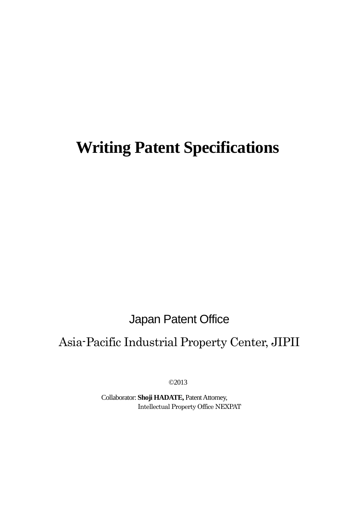# **Writing Patent Specifications**

Japan Patent Office

# Asia-Pacific Industrial Property Center, JIPII

©2013

Collaborator: **Shoji HADATE,** Patent Attorney, Intellectual Property Office NEXPAT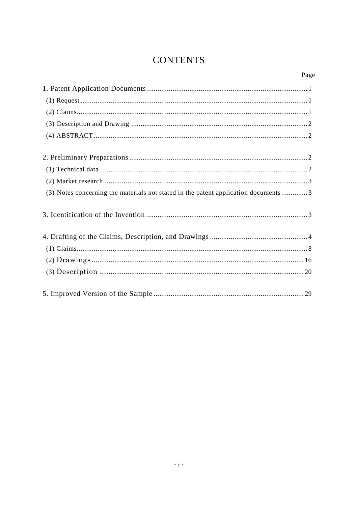## **CONTENTS**

## Page

| (3) Notes concerning the materials not stated in the patent application documents3 |
|------------------------------------------------------------------------------------|
|                                                                                    |
|                                                                                    |
|                                                                                    |
|                                                                                    |
|                                                                                    |
|                                                                                    |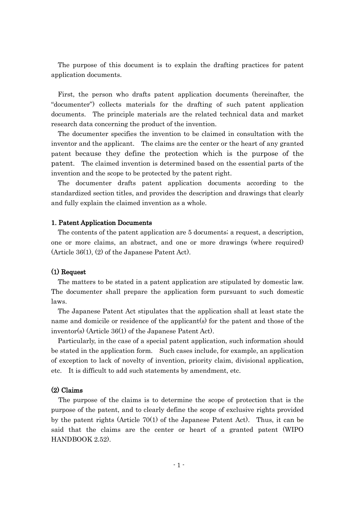The purpose of this document is to explain the drafting practices for patent application documents.

First, the person who drafts patent application documents (hereinafter, the "documenter") collects materials for the drafting of such patent application documents. The principle materials are the related technical data and market research data concerning the product of the invention.

The documenter specifies the invention to be claimed in consultation with the inventor and the applicant. The claims are the center or the heart of any granted patent because they define the protection which is the purpose of the patent. The claimed invention is determined based on the essential parts of the invention and the scope to be protected by the patent right.

The documenter drafts patent application documents according to the standardized section titles, and provides the description and drawings that clearly and fully explain the claimed invention as a whole.

#### 1. Patent Application Documents

The contents of the patent application are 5 documents; a request, a description, one or more claims, an abstract, and one or more drawings (where required) (Article 36(1), (2) of the Japanese Patent Act).

#### (1) Request

The matters to be stated in a patent application are stipulated by domestic law. The documenter shall prepare the application form pursuant to such domestic laws.

The Japanese Patent Act stipulates that the application shall at least state the name and domicile or residence of the applicant(s) for the patent and those of the inventor(s) (Article 36(1) of the Japanese Patent Act).

Particularly, in the case of a special patent application, such information should be stated in the application form. Such cases include, for example, an application of exception to lack of novelty of invention, priority claim, divisional application, etc. It is difficult to add such statements by amendment, etc.

#### (2) Claims

The purpose of the claims is to determine the scope of protection that is the purpose of the patent, and to clearly define the scope of exclusive rights provided by the patent rights (Article 70(1) of the Japanese Patent Act). Thus, it can be said that the claims are the center or heart of a granted patent (WIPO HANDBOOK 2.52).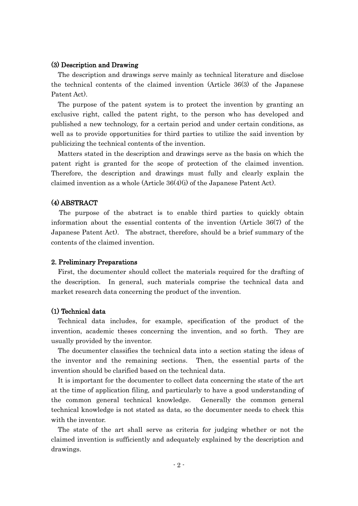#### (3) Description and Drawing

The description and drawings serve mainly as technical literature and disclose the technical contents of the claimed invention (Article 36(3) of the Japanese Patent Act).

The purpose of the patent system is to protect the invention by granting an exclusive right, called the patent right, to the person who has developed and published a new technology, for a certain period and under certain conditions, as well as to provide opportunities for third parties to utilize the said invention by publicizing the technical contents of the invention.

Matters stated in the description and drawings serve as the basis on which the patent right is granted for the scope of protection of the claimed invention. Therefore, the description and drawings must fully and clearly explain the claimed invention as a whole (Article  $36(4)(i)$  of the Japanese Patent Act).

## (4) ABSTRACT

The purpose of the abstract is to enable third parties to quickly obtain information about the essential contents of the invention (Article 36(7) of the Japanese Patent Act). The abstract, therefore, should be a brief summary of the contents of the claimed invention.

#### 2. Preliminary Preparations

First, the documenter should collect the materials required for the drafting of the description. In general, such materials comprise the technical data and market research data concerning the product of the invention.

#### (1) Technical data

Technical data includes, for example, specification of the product of the invention, academic theses concerning the invention, and so forth. They are usually provided by the inventor.

The documenter classifies the technical data into a section stating the ideas of the inventor and the remaining sections. Then, the essential parts of the invention should be clarified based on the technical data.

It is important for the documenter to collect data concerning the state of the art at the time of application filing, and particularly to have a good understanding of the common general technical knowledge. Generally the common general technical knowledge is not stated as data, so the documenter needs to check this with the inventor.

The state of the art shall serve as criteria for judging whether or not the claimed invention is sufficiently and adequately explained by the description and drawings.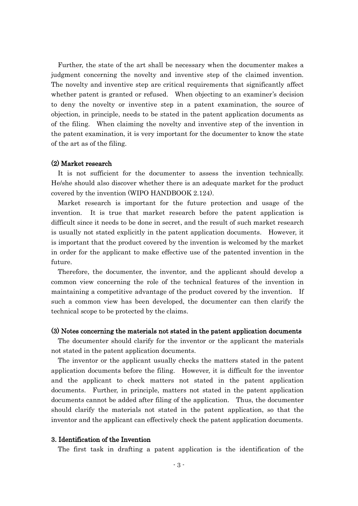Further, the state of the art shall be necessary when the documenter makes a judgment concerning the novelty and inventive step of the claimed invention. The novelty and inventive step are critical requirements that significantly affect whether patent is granted or refused. When objecting to an examiner's decision to deny the novelty or inventive step in a patent examination, the source of objection, in principle, needs to be stated in the patent application documents as of the filing. When claiming the novelty and inventive step of the invention in the patent examination, it is very important for the documenter to know the state of the art as of the filing.

#### (2) Market research

It is not sufficient for the documenter to assess the invention technically. He/she should also discover whether there is an adequate market for the product covered by the invention (WIPO HANDBOOK 2.124).

Market research is important for the future protection and usage of the invention. It is true that market research before the patent application is difficult since it needs to be done in secret, and the result of such market research is usually not stated explicitly in the patent application documents. However, it is important that the product covered by the invention is welcomed by the market in order for the applicant to make effective use of the patented invention in the future.

Therefore, the documenter, the inventor, and the applicant should develop a common view concerning the role of the technical features of the invention in maintaining a competitive advantage of the product covered by the invention. If such a common view has been developed, the documenter can then clarify the technical scope to be protected by the claims.

#### (3) Notes concerning the materials not stated in the patent application documents

The documenter should clarify for the inventor or the applicant the materials not stated in the patent application documents.

The inventor or the applicant usually checks the matters stated in the patent application documents before the filing. However, it is difficult for the inventor and the applicant to check matters not stated in the patent application documents. Further, in principle, matters not stated in the patent application documents cannot be added after filing of the application. Thus, the documenter should clarify the materials not stated in the patent application, so that the inventor and the applicant can effectively check the patent application documents.

#### 3. Identification of the Invention

The first task in drafting a patent application is the identification of the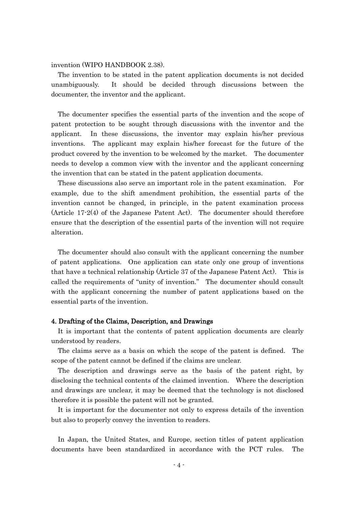invention (WIPO HANDBOOK 2.38).

The invention to be stated in the patent application documents is not decided unambiguously. It should be decided through discussions between the documenter, the inventor and the applicant.

The documenter specifies the essential parts of the invention and the scope of patent protection to be sought through discussions with the inventor and the applicant. In these discussions, the inventor may explain his/her previous inventions. The applicant may explain his/her forecast for the future of the product covered by the invention to be welcomed by the market. The documenter needs to develop a common view with the inventor and the applicant concerning the invention that can be stated in the patent application documents.

These discussions also serve an important role in the patent examination. For example, due to the shift amendment prohibition, the essential parts of the invention cannot be changed, in principle, in the patent examination process (Article 17-2(4) of the Japanese Patent Act). The documenter should therefore ensure that the description of the essential parts of the invention will not require alteration.

The documenter should also consult with the applicant concerning the number of patent applications. One application can state only one group of inventions that have a technical relationship (Article 37 of the Japanese Patent Act). This is called the requirements of "unity of invention." The documenter should consult with the applicant concerning the number of patent applications based on the essential parts of the invention.

#### 4. Drafting of the Claims, Description, and Drawings

It is important that the contents of patent application documents are clearly understood by readers.

The claims serve as a basis on which the scope of the patent is defined. The scope of the patent cannot be defined if the claims are unclear.

The description and drawings serve as the basis of the patent right, by disclosing the technical contents of the claimed invention. Where the description and drawings are unclear, it may be deemed that the technology is not disclosed therefore it is possible the patent will not be granted.

It is important for the documenter not only to express details of the invention but also to properly convey the invention to readers.

In Japan, the United States, and Europe, section titles of patent application documents have been standardized in accordance with the PCT rules. The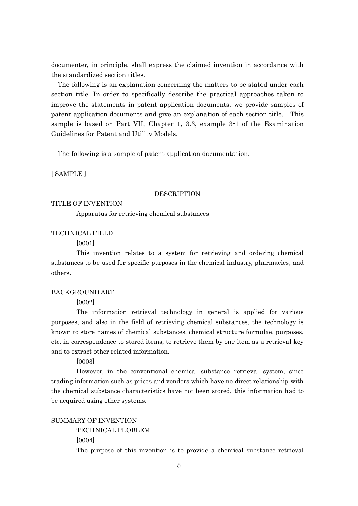documenter, in principle, shall express the claimed invention in accordance with the standardized section titles.

The following is an explanation concerning the matters to be stated under each section title. In order to specifically describe the practical approaches taken to improve the statements in patent application documents, we provide samples of patent application documents and give an explanation of each section title. This sample is based on Part VII, Chapter 1, 3.3, example 3-1 of the Examination Guidelines for Patent and Utility Models.

The following is a sample of patent application documentation.

[ SAMPLE ]

#### **DESCRIPTION**

TITLE OF INVENTION

Apparatus for retrieving chemical substances

TECHNICAL FIELD

[0001]

This invention relates to a system for retrieving and ordering chemical substances to be used for specific purposes in the chemical industry, pharmacies, and others.

#### BACKGROUND ART

[0002]

The information retrieval technology in general is applied for various purposes, and also in the field of retrieving chemical substances, the technology is known to store names of chemical substances, chemical structure formulae, purposes, etc. in correspondence to stored items, to retrieve them by one item as a retrieval key and to extract other related information.

[0003]

However, in the conventional chemical substance retrieval system, since trading information such as prices and vendors which have no direct relationship with the chemical substance characteristics have not been stored, this information had to be acquired using other systems.

SUMMARY OF INVENTION

TECHNICAL PLOBLEM [0004]

The purpose of this invention is to provide a chemical substance retrieval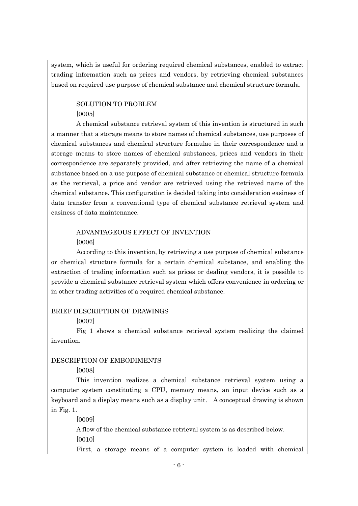system, which is useful for ordering required chemical substances, enabled to extract trading information such as prices and vendors, by retrieving chemical substances based on required use purpose of chemical substance and chemical structure formula.

## SOLUTION TO PROBLEM [0005]

A chemical substance retrieval system of this invention is structured in such a manner that a storage means to store names of chemical substances, use purposes of chemical substances and chemical structure formulae in their correspondence and a storage means to store names of chemical substances, prices and vendors in their correspondence are separately provided, and after retrieving the name of a chemical substance based on a use purpose of chemical substance or chemical structure formula as the retrieval, a price and vendor are retrieved using the retrieved name of the chemical substance. This configuration is decided taking into consideration easiness of data transfer from a conventional type of chemical substance retrieval system and easiness of data maintenance.

## ADVANTAGEOUS EFFECT OF INVENTION [0006]

According to this invention, by retrieving a use purpose of chemical substance or chemical structure formula for a certain chemical substance, and enabling the extraction of trading information such as prices or dealing vendors, it is possible to provide a chemical substance retrieval system which offers convenience in ordering or in other trading activities of a required chemical substance.

#### BRIEF DESCRIPTION OF DRAWINGS

#### [0007]

Fig 1 shows a chemical substance retrieval system realizing the claimed invention.

#### DESCRIPTION OF EMBODIMENTS

[0008]

This invention realizes a chemical substance retrieval system using a computer system constituting a CPU, memory means, an input device such as a keyboard and a display means such as a display unit. A conceptual drawing is shown in Fig. 1.

[0009]

A flow of the chemical substance retrieval system is as described below. [0010]

First, a storage means of a computer system is loaded with chemical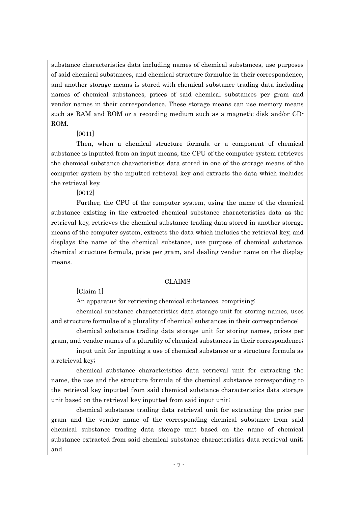substance characteristics data including names of chemical substances, use purposes of said chemical substances, and chemical structure formulae in their correspondence, and another storage means is stored with chemical substance trading data including names of chemical substances, prices of said chemical substances per gram and vendor names in their correspondence. These storage means can use memory means such as RAM and ROM or a recording medium such as a magnetic disk and/or CD-ROM.

## [0011]

Then, when a chemical structure formula or a component of chemical substance is inputted from an input means, the CPU of the computer system retrieves the chemical substance characteristics data stored in one of the storage means of the computer system by the inputted retrieval key and extracts the data which includes the retrieval key.

[0012]

Further, the CPU of the computer system, using the name of the chemical substance existing in the extracted chemical substance characteristics data as the retrieval key, retrieves the chemical substance trading data stored in another storage means of the computer system, extracts the data which includes the retrieval key, and displays the name of the chemical substance, use purpose of chemical substance, chemical structure formula, price per gram, and dealing vendor name on the display means.

## CLAIMS

[Claim 1]

An apparatus for retrieving chemical substances, comprising:

chemical substance characteristics data storage unit for storing names, uses and structure formulae of a plurality of chemical substances in their correspondence;

chemical substance trading data storage unit for storing names, prices per gram, and vendor names of a plurality of chemical substances in their correspondence;

input unit for inputting a use of chemical substance or a structure formula as a retrieval key;

chemical substance characteristics data retrieval unit for extracting the name, the use and the structure formula of the chemical substance corresponding to the retrieval key inputted from said chemical substance characteristics data storage unit based on the retrieval key inputted from said input unit;

chemical substance trading data retrieval unit for extracting the price per gram and the vendor name of the corresponding chemical substance from said chemical substance trading data storage unit based on the name of chemical substance extracted from said chemical substance characteristics data retrieval unit; and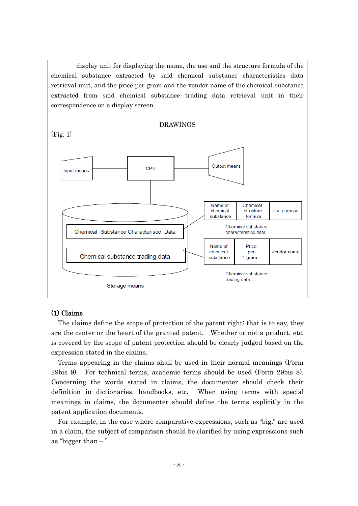display unit for displaying the name, the use and the structure formula of the chemical substance extracted by said chemical substance characteristics data retrieval unit, and the price per gram and the vendor name of the chemical substance extracted from said chemical substance trading data retrieval unit in their correspondence on a display screen.



#### (1) Claims

The claims define the scope of protection of the patent right; that is to say, they are the center or the heart of the granted patent. Whether or not a product, etc. is covered by the scope of patent protection should be clearly judged based on the expression stated in the claims.

Terms appearing in the claims shall be used in their normal meanings (Form 29bis 9). For technical terms, academic terms should be used (Form 29bis 8). Concerning the words stated in claims, the documenter should check their definition in dictionaries, handbooks, etc. When using terms with special meanings in claims, the documenter should define the terms explicitly in the patent application documents.

For example, in the case where comparative expressions, such as "big," are used in a claim, the subject of comparison should be clarified by using expressions such as "bigger than –."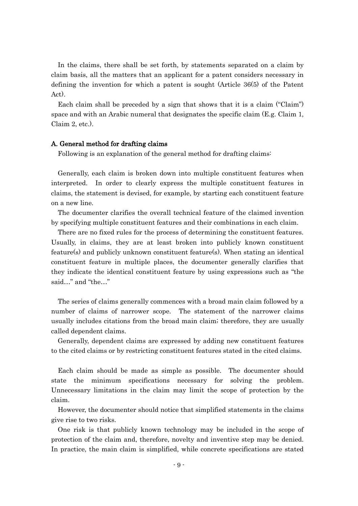In the claims, there shall be set forth, by statements separated on a claim by claim basis, all the matters that an applicant for a patent considers necessary in defining the invention for which a patent is sought (Article 36(5) of the Patent Act).

Each claim shall be preceded by a sign that shows that it is a claim ("Claim") space and with an Arabic numeral that designates the specific claim (E.g. Claim 1, Claim 2, etc.).

#### A. General method for drafting claims

Following is an explanation of the general method for drafting claims:

Generally, each claim is broken down into multiple constituent features when interpreted. In order to clearly express the multiple constituent features in claims, the statement is devised, for example, by starting each constituent feature on a new line.

The documenter clarifies the overall technical feature of the claimed invention by specifying multiple constituent features and their combinations in each claim.

There are no fixed rules for the process of determining the constituent features. Usually, in claims, they are at least broken into publicly known constituent feature(s) and publicly unknown constituent feature(s). When stating an identical constituent feature in multiple places, the documenter generally clarifies that they indicate the identical constituent feature by using expressions such as "the said…" and "the…"

The series of claims generally commences with a broad main claim followed by a number of claims of narrower scope. The statement of the narrower claims usually includes citations from the broad main claim; therefore, they are usually called dependent claims.

Generally, dependent claims are expressed by adding new constituent features to the cited claims or by restricting constituent features stated in the cited claims.

Each claim should be made as simple as possible. The documenter should state the minimum specifications necessary for solving the problem. Unnecessary limitations in the claim may limit the scope of protection by the claim.

However, the documenter should notice that simplified statements in the claims give rise to two risks.

One risk is that publicly known technology may be included in the scope of protection of the claim and, therefore, novelty and inventive step may be denied. In practice, the main claim is simplified, while concrete specifications are stated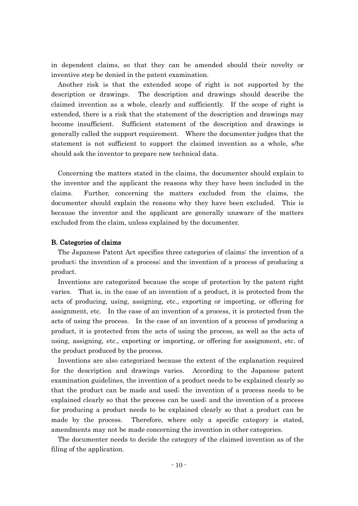in dependent claims, so that they can be amended should their novelty or inventive step be denied in the patent examination.

Another risk is that the extended scope of right is not supported by the description or drawings. The description and drawings should describe the claimed invention as a whole, clearly and sufficiently. If the scope of right is extended, there is a risk that the statement of the description and drawings may become insufficient. Sufficient statement of the description and drawings is generally called the support requirement. Where the documenter judges that the statement is not sufficient to support the claimed invention as a whole, s/he should ask the inventor to prepare new technical data.

Concerning the matters stated in the claims, the documenter should explain to the inventor and the applicant the reasons why they have been included in the claims. Further, concerning the matters excluded from the claims, the documenter should explain the reasons why they have been excluded. This is because the inventor and the applicant are generally unaware of the matters excluded from the claim, unless explained by the documenter.

#### B. Categories of claims

The Japanese Patent Act specifies three categories of claims: the invention of a product; the invention of a process; and the invention of a process of producing a product.

Inventions are categorized because the scope of protection by the patent right varies. That is, in the case of an invention of a product, it is protected from the acts of producing, using, assigning, etc., exporting or importing, or offering for assignment, etc. In the case of an invention of a process, it is protected from the acts of using the process. In the case of an invention of a process of producing a product, it is protected from the acts of using the process, as well as the acts of using, assigning, etc., exporting or importing, or offering for assignment, etc. of the product produced by the process.

Inventions are also categorized because the extent of the explanation required for the description and drawings varies. According to the Japanese patent examination guidelines, the invention of a product needs to be explained clearly so that the product can be made and used; the invention of a process needs to be explained clearly so that the process can be used; and the invention of a process for producing a product needs to be explained clearly so that a product can be made by the process. Therefore, where only a specific category is stated, amendments may not be made concerning the invention in other categories.

The documenter needs to decide the category of the claimed invention as of the filing of the application.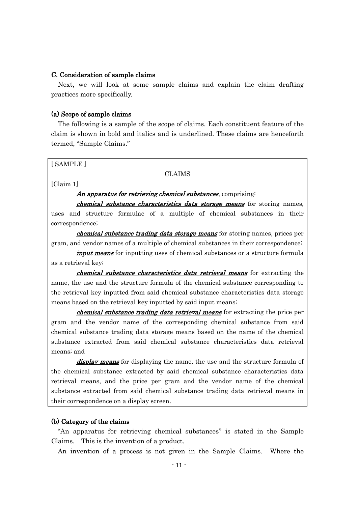#### C. Consideration of sample claims

Next, we will look at some sample claims and explain the claim drafting practices more specifically.

#### (a) Scope of sample claims

The following is a sample of the scope of claims. Each constituent feature of the claim is shown in bold and italics and is underlined. These claims are henceforth termed, "Sample Claims."

[ SAMPLE ]

#### CLAIMS

[Claim 1]

#### An apparatus for retrieving chemical substances, comprising:

chemical substance characteristics data storage means for storing names, uses and structure formulae of a multiple of chemical substances in their correspondence;

*chemical substance trading data storage means* for storing names, prices per gram, and vendor names of a multiple of chemical substances in their correspondence;

input means for inputting uses of chemical substances or a structure formula as a retrieval key;

chemical substance characteristics data retrieval means for extracting the name, the use and the structure formula of the chemical substance corresponding to the retrieval key inputted from said chemical substance characteristics data storage means based on the retrieval key inputted by said input means;

chemical substance trading data retrieval means for extracting the price per gram and the vendor name of the corresponding chemical substance from said chemical substance trading data storage means based on the name of the chemical substance extracted from said chemical substance characteristics data retrieval means; and

display means for displaying the name, the use and the structure formula of the chemical substance extracted by said chemical substance characteristics data retrieval means, and the price per gram and the vendor name of the chemical substance extracted from said chemical substance trading data retrieval means in their correspondence on a display screen.

#### (b) Category of the claims

"An apparatus for retrieving chemical substances" is stated in the Sample Claims. This is the invention of a product.

An invention of a process is not given in the Sample Claims. Where the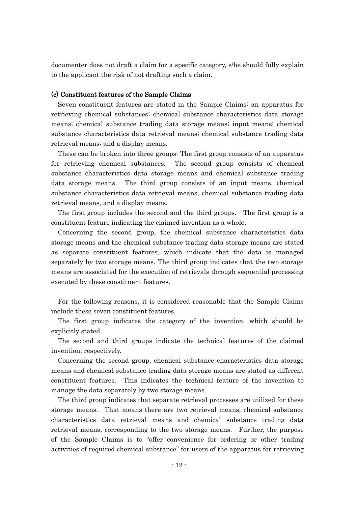documenter does not draft a claim for a specific category, s/he should fully explain to the applicant the risk of not drafting such a claim.

#### (c) Constituent features of the Sample Claims

Seven constituent features are stated in the Sample Claims: an apparatus for retrieving chemical substances; chemical substance characteristics data storage means; chemical substance trading data storage means; input means; chemical substance characteristics data retrieval means; chemical substance trading data retrieval means; and a display means.

These can be broken into three groups: The first group consists of an apparatus for retrieving chemical substances. The second group consists of chemical substance characteristics data storage means and chemical substance trading data storage means. The third group consists of an input means, chemical substance characteristics data retrieval means, chemical substance trading data retrieval means, and a display means.

The first group includes the second and the third groups. The first group is a constituent feature indicating the claimed invention as a whole.

Concerning the second group, the chemical substance characteristics data storage means and the chemical substance trading data storage means are stated as separate constituent features, which indicate that the data is managed separately by two storage means. The third group indicates that the two storage means are associated for the execution of retrievals through sequential processing executed by these constituent features.

For the following reasons, it is considered reasonable that the Sample Claims include these seven constituent features.

The first group indicates the category of the invention, which should be explicitly stated.

The second and third groups indicate the technical features of the claimed invention, respectively.

Concerning the second group, chemical substance characteristics data storage means and chemical substance trading data storage means are stated as different constituent features. This indicates the technical feature of the invention to manage the data separately by two storage means.

The third group indicates that separate retrieval processes are utilized for these storage means. That means there are two retrieval means, chemical substance characteristics data retrieval means and chemical substance trading data retrieval means, corresponding to the two storage means. Further, the purpose of the Sample Claims is to "offer convenience for ordering or other trading activities of required chemical substance" for users of the apparatus for retrieving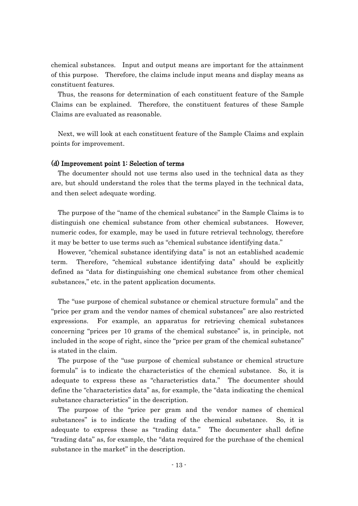chemical substances. Input and output means are important for the attainment of this purpose. Therefore, the claims include input means and display means as constituent features.

Thus, the reasons for determination of each constituent feature of the Sample Claims can be explained. Therefore, the constituent features of these Sample Claims are evaluated as reasonable.

Next, we will look at each constituent feature of the Sample Claims and explain points for improvement.

#### (d) Improvement point 1: Selection of terms

The documenter should not use terms also used in the technical data as they are, but should understand the roles that the terms played in the technical data, and then select adequate wording.

The purpose of the "name of the chemical substance" in the Sample Claims is to distinguish one chemical substance from other chemical substances. However, numeric codes, for example, may be used in future retrieval technology, therefore it may be better to use terms such as "chemical substance identifying data."

However, "chemical substance identifying data" is not an established academic term. Therefore, "chemical substance identifying data" should be explicitly defined as "data for distinguishing one chemical substance from other chemical substances," etc. in the patent application documents.

The "use purpose of chemical substance or chemical structure formula" and the "price per gram and the vendor names of chemical substances" are also restricted expressions. For example, an apparatus for retrieving chemical substances concerning "prices per 10 grams of the chemical substance" is, in principle, not included in the scope of right, since the "price per gram of the chemical substance" is stated in the claim.

The purpose of the "use purpose of chemical substance or chemical structure formula" is to indicate the characteristics of the chemical substance. So, it is adequate to express these as "characteristics data." The documenter should define the "characteristics data" as, for example, the "data indicating the chemical substance characteristics" in the description.

The purpose of the "price per gram and the vendor names of chemical substances" is to indicate the trading of the chemical substance. So, it is adequate to express these as "trading data." The documenter shall define "trading data" as, for example, the "data required for the purchase of the chemical substance in the market" in the description.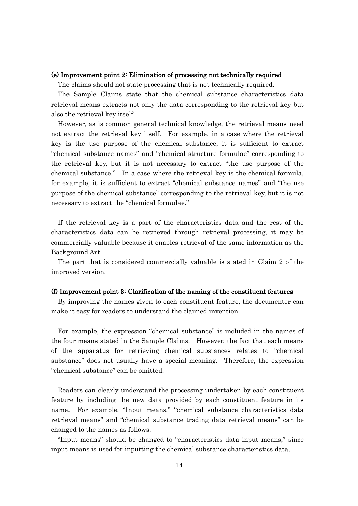#### (e) Improvement point 2: Elimination of processing not technically required

The claims should not state processing that is not technically required.

The Sample Claims state that the chemical substance characteristics data retrieval means extracts not only the data corresponding to the retrieval key but also the retrieval key itself.

However, as is common general technical knowledge, the retrieval means need not extract the retrieval key itself. For example, in a case where the retrieval key is the use purpose of the chemical substance, it is sufficient to extract "chemical substance names" and "chemical structure formulae" corresponding to the retrieval key, but it is not necessary to extract "the use purpose of the chemical substance." In a case where the retrieval key is the chemical formula, for example, it is sufficient to extract "chemical substance names" and "the use purpose of the chemical substance" corresponding to the retrieval key, but it is not necessary to extract the "chemical formulae."

If the retrieval key is a part of the characteristics data and the rest of the characteristics data can be retrieved through retrieval processing, it may be commercially valuable because it enables retrieval of the same information as the Background Art.

The part that is considered commercially valuable is stated in Claim 2 of the improved version.

#### (f) Improvement point 3: Clarification of the naming of the constituent features

By improving the names given to each constituent feature, the documenter can make it easy for readers to understand the claimed invention.

For example, the expression "chemical substance" is included in the names of the four means stated in the Sample Claims. However, the fact that each means of the apparatus for retrieving chemical substances relates to "chemical substance" does not usually have a special meaning. Therefore, the expression "chemical substance" can be omitted.

Readers can clearly understand the processing undertaken by each constituent feature by including the new data provided by each constituent feature in its name. For example, "Input means," "chemical substance characteristics data retrieval means" and "chemical substance trading data retrieval means" can be changed to the names as follows.

"Input means" should be changed to "characteristics data input means," since input means is used for inputting the chemical substance characteristics data.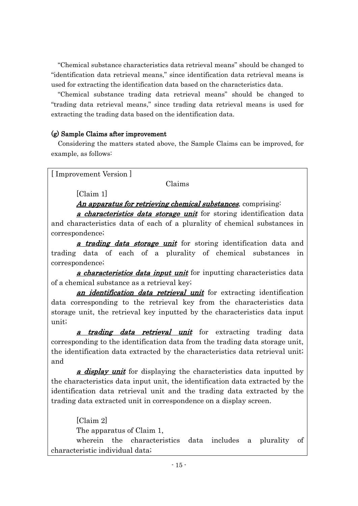"Chemical substance characteristics data retrieval means" should be changed to "identification data retrieval means," since identification data retrieval means is used for extracting the identification data based on the characteristics data.

"Chemical substance trading data retrieval means" should be changed to "trading data retrieval means," since trading data retrieval means is used for extracting the trading data based on the identification data.

## (g) Sample Claims after improvement

Considering the matters stated above, the Sample Claims can be improved, for example, as follows:

[ Improvement Version ]

## Claims

[Claim 1]

An apparatus for retrieving chemical substances, comprising:

a *characteristics data storage unit* for storing identification data and characteristics data of each of a plurality of chemical substances in correspondence;

a trading data storage unit for storing identification data and trading data of each of a plurality of chemical substances in correspondence;

a *characteristics data input unit* for inputting characteristics data of a chemical substance as a retrieval key;

an *identification data retrieval unit* for extracting identification data corresponding to the retrieval key from the characteristics data storage unit, the retrieval key inputted by the characteristics data input unit;

a trading data retrieval unit for extracting trading data corresponding to the identification data from the trading data storage unit, the identification data extracted by the characteristics data retrieval unit; and

a *display unit* for displaying the characteristics data inputted by the characteristics data input unit, the identification data extracted by the identification data retrieval unit and the trading data extracted by the trading data extracted unit in correspondence on a display screen.

[Claim 2] The apparatus of Claim 1,

wherein the characteristics data includes a plurality of characteristic individual data;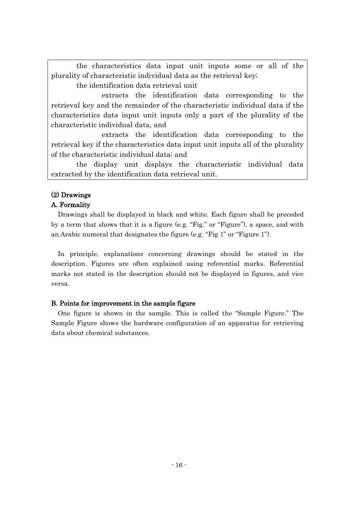the characteristics data input unit inputs some or all of the plurality of characteristic individual data as the retrieval key;

the identification data retrieval unit

extracts the identification data corresponding to the retrieval key and the remainder of the characteristic individual data if the characteristics data input unit inputs only a part of the plurality of the characteristic individual data, and

extracts the identification data corresponding to the retrieval key if the characteristics data input unit inputs all of the plurality of the characteristic individual data; and

the display unit displays the characteristic individual data extracted by the identification data retrieval unit.

## (2) Drawings

## A. Formality

Drawings shall be displayed in black and white. Each figure shall be preceded by a term that shows that it is a figure (e.g. "Fig." or "Figure"), a space, and with an Arabic numeral that designates the figure (e.g. "Fig 1" or "Figure 1").

In principle, explanations concerning drawings should be stated in the description. Figures are often explained using referential marks. Referential marks not stated in the description should not be displayed in figures, and vice versa.

#### B. Points for improvement in the sample figure

One figure is shown in the sample. This is called the "Sample Figure." The Sample Figure shows the hardware configuration of an apparatus for retrieving data about chemical substances.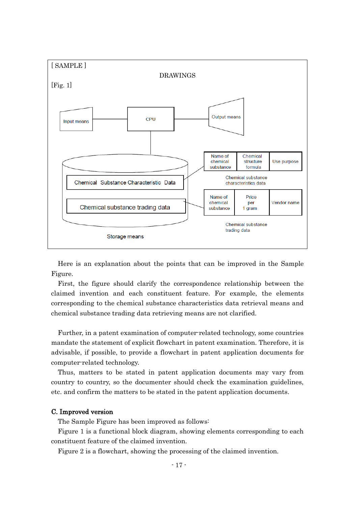

Here is an explanation about the points that can be improved in the Sample Figure.

First, the figure should clarify the correspondence relationship between the claimed invention and each constituent feature. For example, the elements corresponding to the chemical substance characteristics data retrieval means and chemical substance trading data retrieving means are not clarified.

Further, in a patent examination of computer-related technology, some countries mandate the statement of explicit flowchart in patent examination. Therefore, it is advisable, if possible, to provide a flowchart in patent application documents for computer-related technology.

Thus, matters to be stated in patent application documents may vary from country to country, so the documenter should check the examination guidelines, etc. and confirm the matters to be stated in the patent application documents.

#### C. Improved version

The Sample Figure has been improved as follows:

Figure 1 is a functional block diagram, showing elements corresponding to each constituent feature of the claimed invention.

Figure 2 is a flowchart, showing the processing of the claimed invention.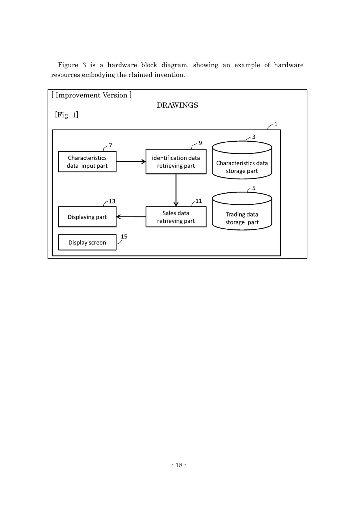

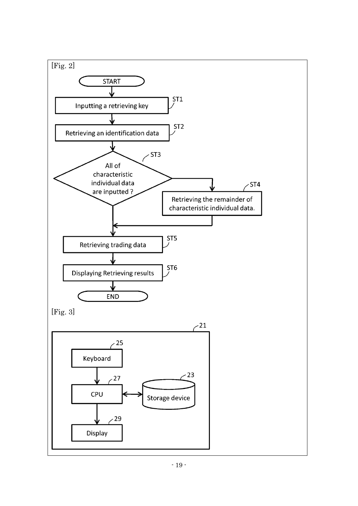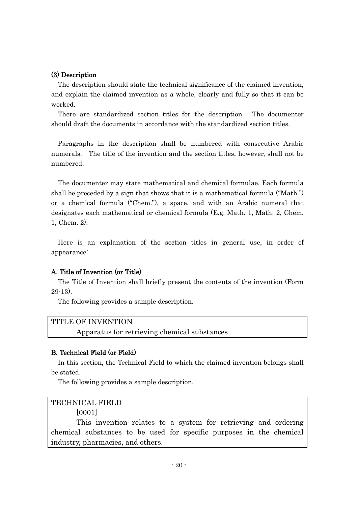#### (3) Description

The description should state the technical significance of the claimed invention, and explain the claimed invention as a whole, clearly and fully so that it can be worked.

There are standardized section titles for the description. The documenter should draft the documents in accordance with the standardized section titles.

Paragraphs in the description shall be numbered with consecutive Arabic numerals. The title of the invention and the section titles, however, shall not be numbered.

The documenter may state mathematical and chemical formulae. Each formula shall be preceded by a sign that shows that it is a mathematical formula ("Math.") or a chemical formula ("Chem."), a space, and with an Arabic numeral that designates each mathematical or chemical formula (E.g. Math. 1, Math. 2, Chem. 1, Chem. 2).

Here is an explanation of the section titles in general use, in order of appearance:

#### A. Title of Invention (or Title)

The Title of Invention shall briefly present the contents of the invention (Form 29-13).

The following provides a sample description.

#### TITLE OF INVENTION

Apparatus for retrieving chemical substances

#### B. Technical Field (or Field)

In this section, the Technical Field to which the claimed invention belongs shall be stated.

The following provides a sample description.

#### TECHNICAL FIELD

[0001]

This invention relates to a system for retrieving and ordering chemical substances to be used for specific purposes in the chemical industry, pharmacies, and others.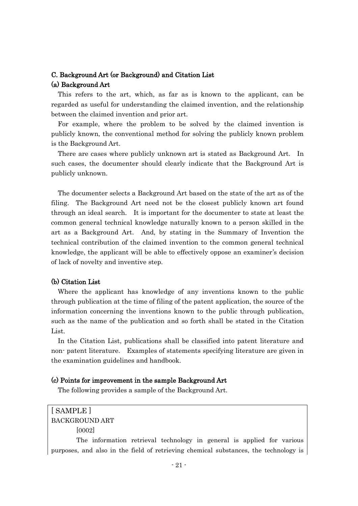## C. Background Art (or Background) and Citation List (a) Background Art

This refers to the art, which, as far as is known to the applicant, can be regarded as useful for understanding the claimed invention, and the relationship between the claimed invention and prior art.

For example, where the problem to be solved by the claimed invention is publicly known, the conventional method for solving the publicly known problem is the Background Art.

There are cases where publicly unknown art is stated as Background Art. In such cases, the documenter should clearly indicate that the Background Art is publicly unknown.

The documenter selects a Background Art based on the state of the art as of the filing. The Background Art need not be the closest publicly known art found through an ideal search. It is important for the documenter to state at least the common general technical knowledge naturally known to a person skilled in the art as a Background Art. And, by stating in the Summary of Invention the technical contribution of the claimed invention to the common general technical knowledge, the applicant will be able to effectively oppose an examiner's decision of lack of novelty and inventive step.

#### (b) Citation List

Where the applicant has knowledge of any inventions known to the public through publication at the time of filing of the patent application, the source of the information concerning the inventions known to the public through publication, such as the name of the publication and so forth shall be stated in the Citation List.

In the Citation List, publications shall be classified into patent literature and non- patent literature. Examples of statements specifying literature are given in the examination guidelines and handbook.

#### (c) Points for improvement in the sample Background Art

The following provides a sample of the Background Art.

## [ SAMPLE ] BACKGROUND ART

[0002]

The information retrieval technology in general is applied for various purposes, and also in the field of retrieving chemical substances, the technology is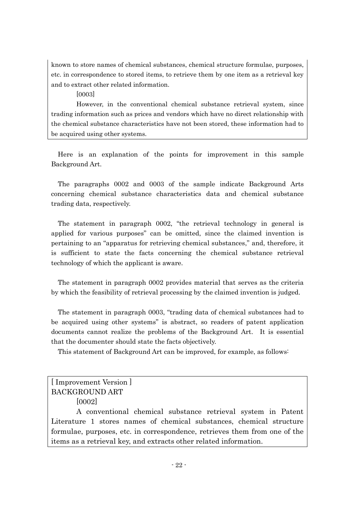known to store names of chemical substances, chemical structure formulae, purposes, etc. in correspondence to stored items, to retrieve them by one item as a retrieval key and to extract other related information.

[0003]

However, in the conventional chemical substance retrieval system, since trading information such as prices and vendors which have no direct relationship with the chemical substance characteristics have not been stored, these information had to be acquired using other systems.

Here is an explanation of the points for improvement in this sample Background Art.

The paragraphs 0002 and 0003 of the sample indicate Background Arts concerning chemical substance characteristics data and chemical substance trading data, respectively.

The statement in paragraph 0002, "the retrieval technology in general is applied for various purposes" can be omitted, since the claimed invention is pertaining to an "apparatus for retrieving chemical substances," and, therefore, it is sufficient to state the facts concerning the chemical substance retrieval technology of which the applicant is aware.

The statement in paragraph 0002 provides material that serves as the criteria by which the feasibility of retrieval processing by the claimed invention is judged.

The statement in paragraph 0003, "trading data of chemical substances had to be acquired using other systems" is abstract, so readers of patent application documents cannot realize the problems of the Background Art. It is essential that the documenter should state the facts objectively.

This statement of Background Art can be improved, for example, as follows:

## [ Improvement Version ] BACKGROUND ART

[0002]

A conventional chemical substance retrieval system in Patent Literature 1 stores names of chemical substances, chemical structure formulae, purposes, etc. in correspondence, retrieves them from one of the items as a retrieval key, and extracts other related information.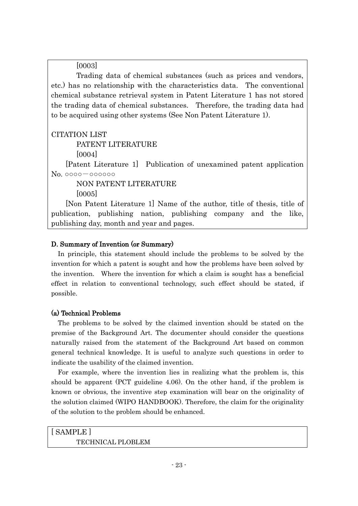[0003]

Trading data of chemical substances (such as prices and vendors, etc.) has no relationship with the characteristics data. The conventional chemical substance retrieval system in Patent Literature 1 has not stored the trading data of chemical substances. Therefore, the trading data had to be acquired using other systems (See Non Patent Literature 1).

CITATION LIST

PATENT LITERATURE

[0004]

 [Patent Literature 1] Publication of unexamined patent application No. ○○○○-○○○○○○

NON PATENT LITERATURE [0005]

 [Non Patent Literature 1] Name of the author, title of thesis, title of publication, publishing nation, publishing company and the like, publishing day, month and year and pages.

## D. Summary of Invention (or Summary)

In principle, this statement should include the problems to be solved by the invention for which a patent is sought and how the problems have been solved by the invention. Where the invention for which a claim is sought has a beneficial effect in relation to conventional technology, such effect should be stated, if possible.

## (a) Technical Problems

The problems to be solved by the claimed invention should be stated on the premise of the Background Art. The documenter should consider the questions naturally raised from the statement of the Background Art based on common general technical knowledge. It is useful to analyze such questions in order to indicate the usability of the claimed invention.

For example, where the invention lies in realizing what the problem is, this should be apparent (PCT guideline 4.06). On the other hand, if the problem is known or obvious, the inventive step examination will bear on the originality of the solution claimed (WIPO HANDBOOK). Therefore, the claim for the originality of the solution to the problem should be enhanced.

| [SAMPLE]                 |
|--------------------------|
| <b>TECHNICAL PLOBLEM</b> |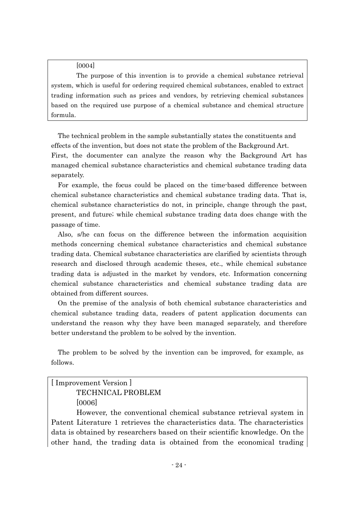[0004]

The purpose of this invention is to provide a chemical substance retrieval system, which is useful for ordering required chemical substances, enabled to extract trading information such as prices and vendors, by retrieving chemical substances based on the required use purpose of a chemical substance and chemical structure formula.

The technical problem in the sample substantially states the constituents and effects of the invention, but does not state the problem of the Background Art.

First, the documenter can analyze the reason why the Background Art has managed chemical substance characteristics and chemical substance trading data separately.

For example, the focus could be placed on the time-based difference between chemical substance characteristics and chemical substance trading data. That is, chemical substance characteristics do not, in principle, change through the past, present, and future; while chemical substance trading data does change with the passage of time.

Also, s/he can focus on the difference between the information acquisition methods concerning chemical substance characteristics and chemical substance trading data. Chemical substance characteristics are clarified by scientists through research and disclosed through academic theses, etc., while chemical substance trading data is adjusted in the market by vendors, etc. Information concerning chemical substance characteristics and chemical substance trading data are obtained from different sources.

On the premise of the analysis of both chemical substance characteristics and chemical substance trading data, readers of patent application documents can understand the reason why they have been managed separately, and therefore better understand the problem to be solved by the invention.

The problem to be solved by the invention can be improved, for example, as follows.

## [ Improvement Version ] TECHNICAL PROBLEM [0006]

However, the conventional chemical substance retrieval system in Patent Literature 1 retrieves the characteristics data. The characteristics data is obtained by researchers based on their scientific knowledge. On the other hand, the trading data is obtained from the economical trading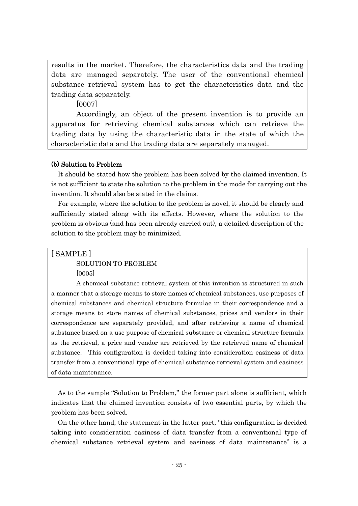results in the market. Therefore, the characteristics data and the trading data are managed separately. The user of the conventional chemical substance retrieval system has to get the characteristics data and the trading data separately.

[0007]

Accordingly, an object of the present invention is to provide an apparatus for retrieving chemical substances which can retrieve the trading data by using the characteristic data in the state of which the characteristic data and the trading data are separately managed.

#### (b) Solution to Problem

It should be stated how the problem has been solved by the claimed invention. It is not sufficient to state the solution to the problem in the mode for carrying out the invention. It should also be stated in the claims.

For example, where the solution to the problem is novel, it should be clearly and sufficiently stated along with its effects. However, where the solution to the problem is obvious (and has been already carried out), a detailed description of the solution to the problem may be minimized.

[ SAMPLE ]

SOLUTION TO PROBLEM

[0005]

A chemical substance retrieval system of this invention is structured in such a manner that a storage means to store names of chemical substances, use purposes of chemical substances and chemical structure formulae in their correspondence and a storage means to store names of chemical substances, prices and vendors in their correspondence are separately provided, and after retrieving a name of chemical substance based on a use purpose of chemical substance or chemical structure formula as the retrieval, a price and vendor are retrieved by the retrieved name of chemical substance. This configuration is decided taking into consideration easiness of data transfer from a conventional type of chemical substance retrieval system and easiness of data maintenance.

As to the sample "Solution to Problem," the former part alone is sufficient, which indicates that the claimed invention consists of two essential parts, by which the problem has been solved.

On the other hand, the statement in the latter part, "this configuration is decided taking into consideration easiness of data transfer from a conventional type of chemical substance retrieval system and easiness of data maintenance" is a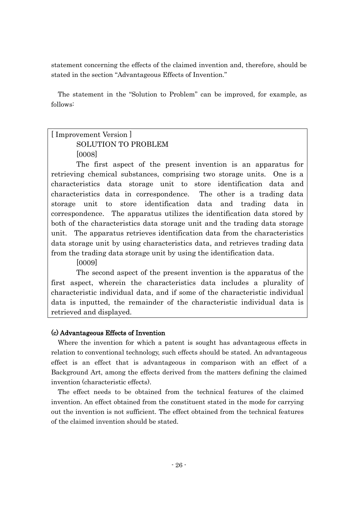statement concerning the effects of the claimed invention and, therefore, should be stated in the section "Advantageous Effects of Invention."

The statement in the "Solution to Problem" can be improved, for example, as follows:

## [ Improvement Version ] SOLUTION TO PROBLEM [0008]

The first aspect of the present invention is an apparatus for retrieving chemical substances, comprising two storage units. One is a characteristics data storage unit to store identification data and characteristics data in correspondence. The other is a trading data storage unit to store identification data and trading data in correspondence. The apparatus utilizes the identification data stored by both of the characteristics data storage unit and the trading data storage unit. The apparatus retrieves identification data from the characteristics data storage unit by using characteristics data, and retrieves trading data from the trading data storage unit by using the identification data.

[0009]

The second aspect of the present invention is the apparatus of the first aspect, wherein the characteristics data includes a plurality of characteristic individual data, and if some of the characteristic individual data is inputted, the remainder of the characteristic individual data is retrieved and displayed.

## (c) Advantageous Effects of Invention

Where the invention for which a patent is sought has advantageous effects in relation to conventional technology, such effects should be stated. An advantageous effect is an effect that is advantageous in comparison with an effect of a Background Art, among the effects derived from the matters defining the claimed invention (characteristic effects).

The effect needs to be obtained from the technical features of the claimed invention. An effect obtained from the constituent stated in the mode for carrying out the invention is not sufficient. The effect obtained from the technical features of the claimed invention should be stated.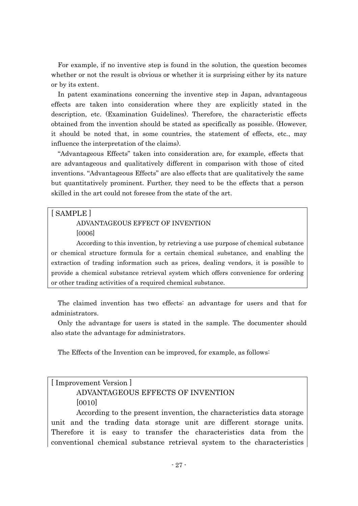For example, if no inventive step is found in the solution, the question becomes whether or not the result is obvious or whether it is surprising either by its nature or by its extent.

In patent examinations concerning the inventive step in Japan, advantageous effects are taken into consideration where they are explicitly stated in the description, etc. (Examination Guidelines). Therefore, the characteristic effects obtained from the invention should be stated as specifically as possible. (However, it should be noted that, in some countries, the statement of effects, etc., may influence the interpretation of the claims).

"Advantageous Effects" taken into consideration are, for example, effects that are advantageous and qualitatively different in comparison with those of cited inventions. "Advantageous Effects" are also effects that are qualitatively the same but quantitatively prominent. Further, they need to be the effects that a person skilled in the art could not foresee from the state of the art.

## [ SAMPLE ]

## ADVANTAGEOUS EFFECT OF INVENTION

[0006]

According to this invention, by retrieving a use purpose of chemical substance or chemical structure formula for a certain chemical substance, and enabling the extraction of trading information such as prices, dealing vendors, it is possible to provide a chemical substance retrieval system which offers convenience for ordering or other trading activities of a required chemical substance.

The claimed invention has two effects: an advantage for users and that for administrators.

Only the advantage for users is stated in the sample. The documenter should also state the advantage for administrators.

The Effects of the Invention can be improved, for example, as follows:

## [ Improvement Version ]

## ADVANTAGEOUS EFFECTS OF INVENTION [0010]

According to the present invention, the characteristics data storage unit and the trading data storage unit are different storage units. Therefore it is easy to transfer the characteristics data from the conventional chemical substance retrieval system to the characteristics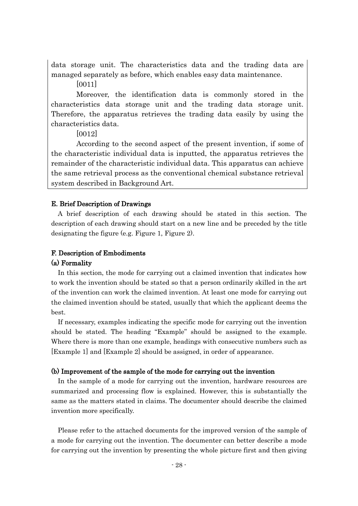data storage unit. The characteristics data and the trading data are managed separately as before, which enables easy data maintenance.

[0011]

Moreover, the identification data is commonly stored in the characteristics data storage unit and the trading data storage unit. Therefore, the apparatus retrieves the trading data easily by using the characteristics data.

[0012]

According to the second aspect of the present invention, if some of the characteristic individual data is inputted, the apparatus retrieves the remainder of the characteristic individual data. This apparatus can achieve the same retrieval process as the conventional chemical substance retrieval system described in Background Art.

## E. Brief Description of Drawings

A brief description of each drawing should be stated in this section. The description of each drawing should start on a new line and be preceded by the title designating the figure (e.g. Figure 1, Figure 2).

## F. Description of Embodiments

#### (a) Formality

In this section, the mode for carrying out a claimed invention that indicates how to work the invention should be stated so that a person ordinarily skilled in the art of the invention can work the claimed invention. At least one mode for carrying out the claimed invention should be stated, usually that which the applicant deems the best.

If necessary, examples indicating the specific mode for carrying out the invention should be stated. The heading "Example" should be assigned to the example. Where there is more than one example, headings with consecutive numbers such as [Example 1] and [Example 2] should be assigned, in order of appearance.

#### (b) Improvement of the sample of the mode for carrying out the invention

In the sample of a mode for carrying out the invention, hardware resources are summarized and processing flow is explained. However, this is substantially the same as the matters stated in claims. The documenter should describe the claimed invention more specifically.

Please refer to the attached documents for the improved version of the sample of a mode for carrying out the invention. The documenter can better describe a mode for carrying out the invention by presenting the whole picture first and then giving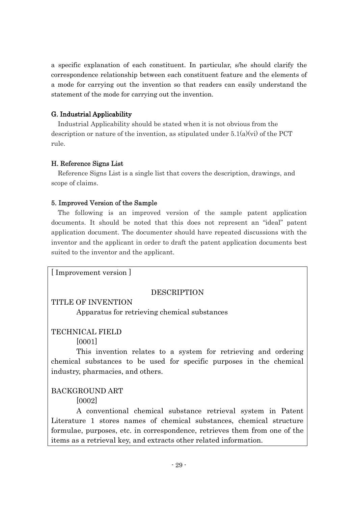a specific explanation of each constituent. In particular, s/he should clarify the correspondence relationship between each constituent feature and the elements of a mode for carrying out the invention so that readers can easily understand the statement of the mode for carrying out the invention.

## G. Industrial Applicability

Industrial Applicability should be stated when it is not obvious from the description or nature of the invention, as stipulated under  $5.1(a)(vi)$  of the PCT rule.

## H. Reference Signs List

Reference Signs List is a single list that covers the description, drawings, and scope of claims.

## 5. Improved Version of the Sample

The following is an improved version of the sample patent application documents. It should be noted that this does not represent an "ideal" patent application document. The documenter should have repeated discussions with the inventor and the applicant in order to draft the patent application documents best suited to the inventor and the applicant.

[ Improvement version ]

## DESCRIPTION

## TITLE OF INVENTION

Apparatus for retrieving chemical substances

## TECHNICAL FIELD

[0001]

This invention relates to a system for retrieving and ordering chemical substances to be used for specific purposes in the chemical industry, pharmacies, and others.

## BACKGROUND ART

[0002]

A conventional chemical substance retrieval system in Patent Literature 1 stores names of chemical substances, chemical structure formulae, purposes, etc. in correspondence, retrieves them from one of the items as a retrieval key, and extracts other related information.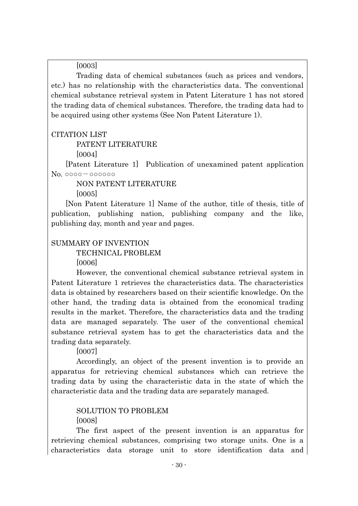[0003]

Trading data of chemical substances (such as prices and vendors, etc.) has no relationship with the characteristics data. The conventional chemical substance retrieval system in Patent Literature 1 has not stored the trading data of chemical substances. Therefore, the trading data had to be acquired using other systems (See Non Patent Literature 1).

## CITATION LIST

PATENT LITERATURE

[0004]

 [Patent Literature 1] Publication of unexamined patent application No. ○○○○-○○○○○○

NON PATENT LITERATURE

[0005]

 [Non Patent Literature 1] Name of the author, title of thesis, title of publication, publishing nation, publishing company and the like, publishing day, month and year and pages.

## SUMMARY OF INVENTION

TECHNICAL PROBLEM

[0006]

However, the conventional chemical substance retrieval system in Patent Literature 1 retrieves the characteristics data. The characteristics data is obtained by researchers based on their scientific knowledge. On the other hand, the trading data is obtained from the economical trading results in the market. Therefore, the characteristics data and the trading data are managed separately. The user of the conventional chemical substance retrieval system has to get the characteristics data and the trading data separately.

[0007]

Accordingly, an object of the present invention is to provide an apparatus for retrieving chemical substances which can retrieve the trading data by using the characteristic data in the state of which the characteristic data and the trading data are separately managed.

## SOLUTION TO PROBLEM [0008]

The first aspect of the present invention is an apparatus for retrieving chemical substances, comprising two storage units. One is a characteristics data storage unit to store identification data and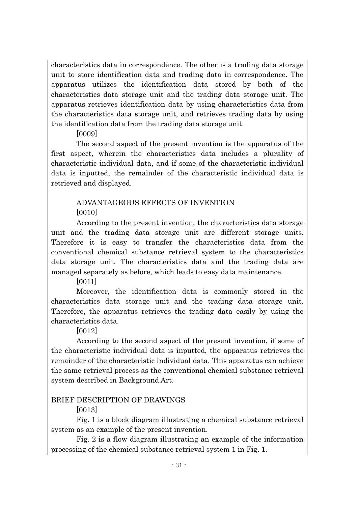characteristics data in correspondence. The other is a trading data storage unit to store identification data and trading data in correspondence. The apparatus utilizes the identification data stored by both of the characteristics data storage unit and the trading data storage unit. The apparatus retrieves identification data by using characteristics data from the characteristics data storage unit, and retrieves trading data by using the identification data from the trading data storage unit.

[0009]

The second aspect of the present invention is the apparatus of the first aspect, wherein the characteristics data includes a plurality of characteristic individual data, and if some of the characteristic individual data is inputted, the remainder of the characteristic individual data is retrieved and displayed.

## ADVANTAGEOUS EFFECTS OF INVENTION  $|0010|$

According to the present invention, the characteristics data storage unit and the trading data storage unit are different storage units. Therefore it is easy to transfer the characteristics data from the conventional chemical substance retrieval system to the characteristics data storage unit. The characteristics data and the trading data are managed separately as before, which leads to easy data maintenance.

[0011]

Moreover, the identification data is commonly stored in the characteristics data storage unit and the trading data storage unit. Therefore, the apparatus retrieves the trading data easily by using the characteristics data.

[0012]

According to the second aspect of the present invention, if some of the characteristic individual data is inputted, the apparatus retrieves the remainder of the characteristic individual data. This apparatus can achieve the same retrieval process as the conventional chemical substance retrieval system described in Background Art.

## BRIEF DESCRIPTION OF DRAWINGS

[0013]

Fig. 1 is a block diagram illustrating a chemical substance retrieval system as an example of the present invention.

Fig. 2 is a flow diagram illustrating an example of the information processing of the chemical substance retrieval system 1 in Fig. 1.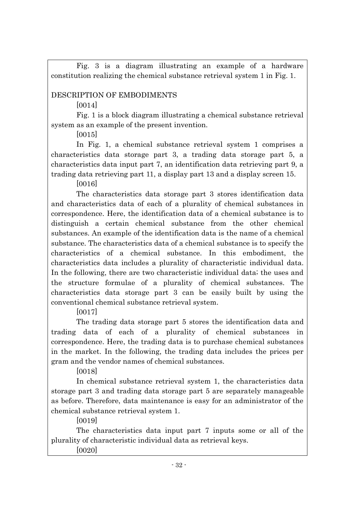Fig. 3 is a diagram illustrating an example of a hardware constitution realizing the chemical substance retrieval system 1 in Fig. 1.

## DESCRIPTION OF EMBODIMENTS

 $[0014]$ 

Fig. 1 is a block diagram illustrating a chemical substance retrieval system as an example of the present invention.

[0015]

In Fig. 1, a chemical substance retrieval system 1 comprises a characteristics data storage part 3, a trading data storage part 5, a characteristics data input part 7, an identification data retrieving part 9, a trading data retrieving part 11, a display part 13 and a display screen 15.

[0016]

The characteristics data storage part 3 stores identification data and characteristics data of each of a plurality of chemical substances in correspondence. Here, the identification data of a chemical substance is to distinguish a certain chemical substance from the other chemical substances. An example of the identification data is the name of a chemical substance. The characteristics data of a chemical substance is to specify the characteristics of a chemical substance. In this embodiment, the characteristics data includes a plurality of characteristic individual data. In the following, there are two characteristic individual data; the uses and the structure formulae of a plurality of chemical substances. The characteristics data storage part 3 can be easily built by using the conventional chemical substance retrieval system.

[0017]

The trading data storage part 5 stores the identification data and trading data of each of a plurality of chemical substances in correspondence. Here, the trading data is to purchase chemical substances in the market. In the following, the trading data includes the prices per gram and the vendor names of chemical substances.

[0018]

In chemical substance retrieval system 1, the characteristics data storage part 3 and trading data storage part 5 are separately manageable as before. Therefore, data maintenance is easy for an administrator of the chemical substance retrieval system 1.

[0019]

The characteristics data input part 7 inputs some or all of the plurality of characteristic individual data as retrieval keys.

[0020]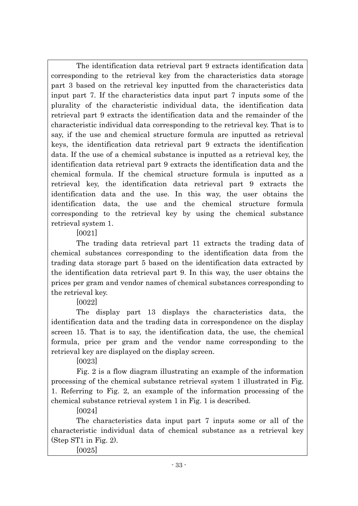The identification data retrieval part 9 extracts identification data corresponding to the retrieval key from the characteristics data storage part 3 based on the retrieval key inputted from the characteristics data input part 7. If the characteristics data input part 7 inputs some of the plurality of the characteristic individual data, the identification data retrieval part 9 extracts the identification data and the remainder of the characteristic individual data corresponding to the retrieval key. That is to say, if the use and chemical structure formula are inputted as retrieval keys, the identification data retrieval part 9 extracts the identification data. If the use of a chemical substance is inputted as a retrieval key, the identification data retrieval part 9 extracts the identification data and the chemical formula. If the chemical structure formula is inputted as a retrieval key, the identification data retrieval part 9 extracts the identification data and the use. In this way, the user obtains the identification data, the use and the chemical structure formula corresponding to the retrieval key by using the chemical substance retrieval system 1.

[0021]

The trading data retrieval part 11 extracts the trading data of chemical substances corresponding to the identification data from the trading data storage part 5 based on the identification data extracted by the identification data retrieval part 9. In this way, the user obtains the prices per gram and vendor names of chemical substances corresponding to the retrieval key.

[0022]

The display part 13 displays the characteristics data, the identification data and the trading data in correspondence on the display screen 15. That is to say, the identification data, the use, the chemical formula, price per gram and the vendor name corresponding to the retrieval key are displayed on the display screen.

[0023]

Fig. 2 is a flow diagram illustrating an example of the information processing of the chemical substance retrieval system 1 illustrated in Fig. 1. Referring to Fig. 2, an example of the information processing of the chemical substance retrieval system 1 in Fig. 1 is described.

[0024]

The characteristics data input part 7 inputs some or all of the characteristic individual data of chemical substance as a retrieval key (Step ST1 in Fig. 2).

[0025]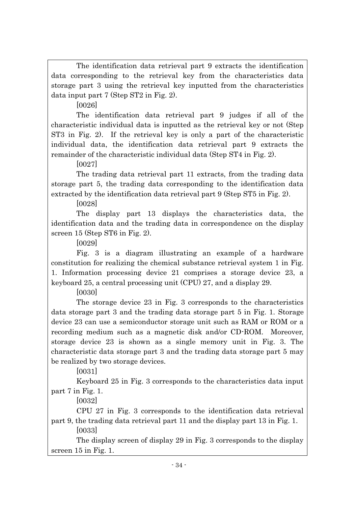The identification data retrieval part 9 extracts the identification data corresponding to the retrieval key from the characteristics data storage part 3 using the retrieval key inputted from the characteristics data input part 7 (Step ST2 in Fig. 2).

[0026]

The identification data retrieval part 9 judges if all of the characteristic individual data is inputted as the retrieval key or not (Step ST3 in Fig. 2). If the retrieval key is only a part of the characteristic individual data, the identification data retrieval part 9 extracts the remainder of the characteristic individual data (Step ST4 in Fig. 2).

[0027]

The trading data retrieval part 11 extracts, from the trading data storage part 5, the trading data corresponding to the identification data extracted by the identification data retrieval part 9 (Step ST5 in Fig. 2).

[0028]

The display part 13 displays the characteristics data, the identification data and the trading data in correspondence on the display screen 15 (Step ST6 in Fig. 2).

[0029]

Fig. 3 is a diagram illustrating an example of a hardware constitution for realizing the chemical substance retrieval system 1 in Fig. 1. Information processing device 21 comprises a storage device 23, a keyboard 25, a central processing unit (CPU) 27, and a display 29.

[0030]

The storage device 23 in Fig. 3 corresponds to the characteristics data storage part 3 and the trading data storage part 5 in Fig. 1. Storage device 23 can use a semiconductor storage unit such as RAM or ROM or a recording medium such as a magnetic disk and/or CD-ROM. Moreover, storage device 23 is shown as a single memory unit in Fig. 3. The characteristic data storage part 3 and the trading data storage part 5 may be realized by two storage devices.

[0031]

Keyboard 25 in Fig. 3 corresponds to the characteristics data input part 7 in Fig. 1.

[0032]

CPU 27 in Fig. 3 corresponds to the identification data retrieval part 9, the trading data retrieval part 11 and the display part 13 in Fig. 1.

[0033]

The display screen of display 29 in Fig. 3 corresponds to the display screen 15 in Fig. 1.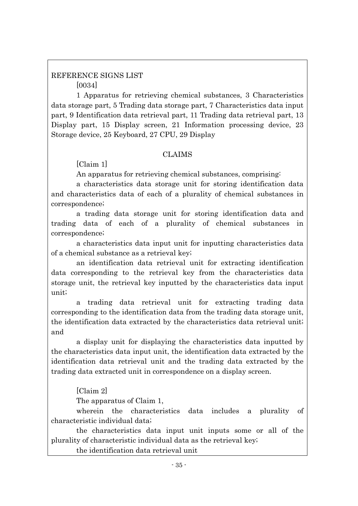## REFERENCE SIGNS LIST [0034]

1 Apparatus for retrieving chemical substances, 3 Characteristics data storage part, 5 Trading data storage part, 7 Characteristics data input part, 9 Identification data retrieval part, 11 Trading data retrieval part, 13 Display part, 15 Display screen, 21 Information processing device, 23 Storage device, 25 Keyboard, 27 CPU, 29 Display

## CLAIMS

[Claim 1]

An apparatus for retrieving chemical substances, comprising.

a characteristics data storage unit for storing identification data and characteristics data of each of a plurality of chemical substances in correspondence;

a trading data storage unit for storing identification data and trading data of each of a plurality of chemical substances in correspondence;

a characteristics data input unit for inputting characteristics data of a chemical substance as a retrieval key;

an identification data retrieval unit for extracting identification data corresponding to the retrieval key from the characteristics data storage unit, the retrieval key inputted by the characteristics data input unit;

a trading data retrieval unit for extracting trading data corresponding to the identification data from the trading data storage unit, the identification data extracted by the characteristics data retrieval unit; and

a display unit for displaying the characteristics data inputted by the characteristics data input unit, the identification data extracted by the identification data retrieval unit and the trading data extracted by the trading data extracted unit in correspondence on a display screen.

[Claim 2]

The apparatus of Claim 1,

wherein the characteristics data includes a plurality of characteristic individual data;

the characteristics data input unit inputs some or all of the plurality of characteristic individual data as the retrieval key;

the identification data retrieval unit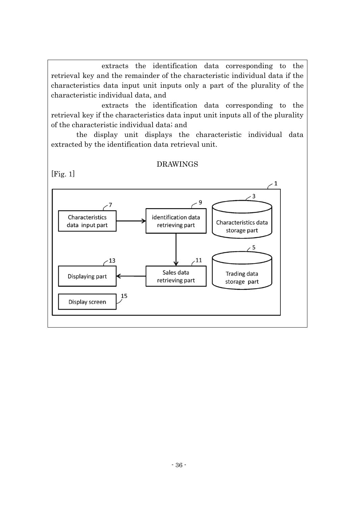extracts the identification data corresponding to the retrieval key and the remainder of the characteristic individual data if the characteristics data input unit inputs only a part of the plurality of the characteristic individual data, and

extracts the identification data corresponding to the retrieval key if the characteristics data input unit inputs all of the plurality of the characteristic individual data; and

the display unit displays the characteristic individual data extracted by the identification data retrieval unit.

## DRAWINGS